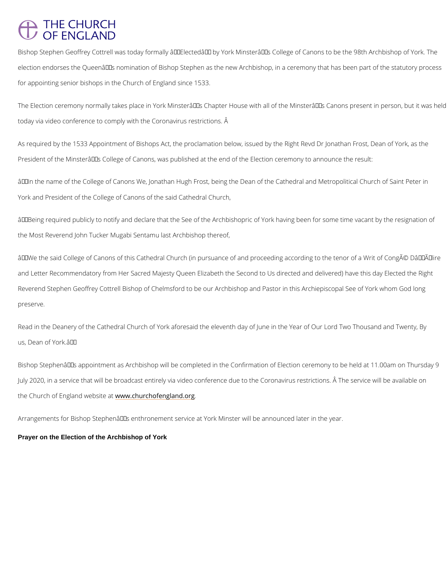## **THE CHURCH** OF ENGLAND

Bishop Stephen Geoffrey Cottrell was today formally  $\hat{a} \in \tilde{a}$  Elected $\hat{a} \in \tilde{a}$  by York Minster $\hat{a} \in \tilde{a}$  s Co election endorses the Queenâ $\epsilon$ <sup>TM</sup>s nomination of Bishop Stephen as the new Archbishop, in a for appointing senior bishops in the Church of England since 1533.

The Election ceremony normally takes place in York Minster's Chapter House with all of t today via video conference to comply with the Coronavirus restrictions. Â

As required by the 1533 Appointment of Bishops Act, the proclamation below, issued by the F President of the Minsterâ $\epsilon$ <sup>TM</sup>s College of Canons, was published at the end of the Election ce

 $\hat{a} \in \infty$ In the name of the College of Canons We, Jonathan Hugh Frost, being the Dean of the Ca York and President of the College of Canons of the said Cathedral Church,

 $\hat{a} \in \infty$  Being required publicly to notify and declare that the See of the Archbishopric of York h the Most Reverend John Tucker Mugabi Sentamu last Archbishop thereof,

 $\hat{a} \in \infty$  We the said College of Canons of this Cathedral Church (in pursuance of and proceeding and Letter Recommendatory from Her Sacred Majesty Queen Elizabeth the Second to Us direc Reverend Stephen Geoffrey Cottrell Bishop of Chelmsford to be our Archbishop and Pastor in preserve.

Read in the Deanery of the Cathedral Church of York aforesaid the eleventh day of June in the us, Dean of York.―

Bishop Stephenâ $\epsilon$ <sup>TM</sup>s appointment as Archbishop will be completed in the Confirmation of Ele July 2020, in a service that will be broadcast entirely via video conference due to the Coron the Church of England www.boshiusecantofengland.org

Arrangements for Bishop Stephen's enthronement service at York Minster will be announc

Prayer on the Election of the Archbishop of York